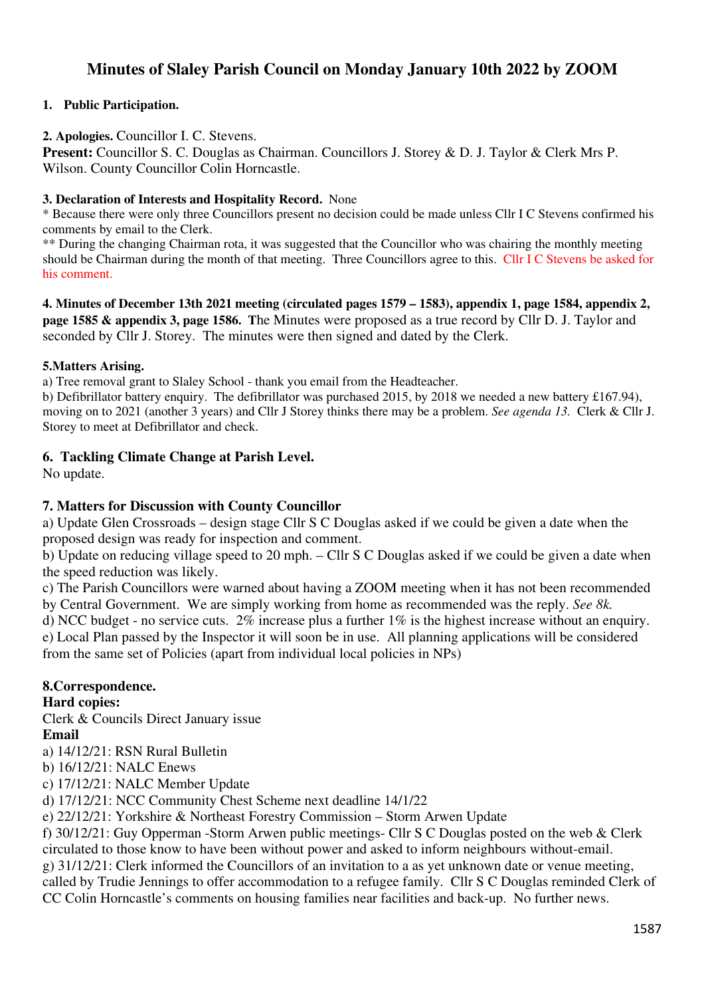# **Minutes of Slaley Parish Council on Monday January 10th 2022 by ZOOM**

### **1. Public Participation.**

### **2. Apologies.** Councillor I. C. Stevens.

**Present:** Councillor S. C. Douglas as Chairman. Councillors J. Storey & D. J. Taylor & Clerk Mrs P. Wilson. County Councillor Colin Horncastle.

#### **3. Declaration of Interests and Hospitality Record.** None

\* Because there were only three Councillors present no decision could be made unless Cllr I C Stevens confirmed his comments by email to the Clerk.

\*\* During the changing Chairman rota, it was suggested that the Councillor who was chairing the monthly meeting should be Chairman during the month of that meeting. Three Councillors agree to this. Cllr I C Stevens be asked for his comment.

**4. Minutes of December 13th 2021 meeting (circulated pages 1579 – 1583), appendix 1, page 1584, appendix 2, page 1585 & appendix 3, page 1586. T**he Minutes were proposed as a true record by Cllr D. J. Taylor and seconded by Cllr J. Storey. The minutes were then signed and dated by the Clerk.

#### **5.Matters Arising.**

a) Tree removal grant to Slaley School - thank you email from the Headteacher.

b) Defibrillator battery enquiry. The defibrillator was purchased 2015, by 2018 we needed a new battery £167.94), moving on to 2021 (another 3 years) and Cllr J Storey thinks there may be a problem. *See agenda 13.* Clerk & Cllr J. Storey to meet at Defibrillator and check.

### **6. Tackling Climate Change at Parish Level.**

No update.

### **7. Matters for Discussion with County Councillor**

a) Update Glen Crossroads – design stage Cllr S C Douglas asked if we could be given a date when the proposed design was ready for inspection and comment.

b) Update on reducing village speed to 20 mph. – Cllr S C Douglas asked if we could be given a date when the speed reduction was likely.

c) The Parish Councillors were warned about having a ZOOM meeting when it has not been recommended by Central Government. We are simply working from home as recommended was the reply. *See 8k.* 

d) NCC budget - no service cuts. 2% increase plus a further 1% is the highest increase without an enquiry. e) Local Plan passed by the Inspector it will soon be in use. All planning applications will be considered from the same set of Policies (apart from individual local policies in NPs)

# **8.Correspondence.**

**Hard copies:** 

Clerk & Councils Direct January issue

#### **Email**

a) 14/12/21: RSN Rural Bulletin

b) 16/12/21: NALC Enews

c) 17/12/21: NALC Member Update

d) 17/12/21: NCC Community Chest Scheme next deadline 14/1/22

e) 22/12/21: Yorkshire & Northeast Forestry Commission – Storm Arwen Update

f) 30/12/21: Guy Opperman -Storm Arwen public meetings- Cllr S C Douglas posted on the web & Clerk circulated to those know to have been without power and asked to inform neighbours without-email. g) 31/12/21: Clerk informed the Councillors of an invitation to a as yet unknown date or venue meeting, called by Trudie Jennings to offer accommodation to a refugee family. Cllr S C Douglas reminded Clerk of

CC Colin Horncastle's comments on housing families near facilities and back-up. No further news.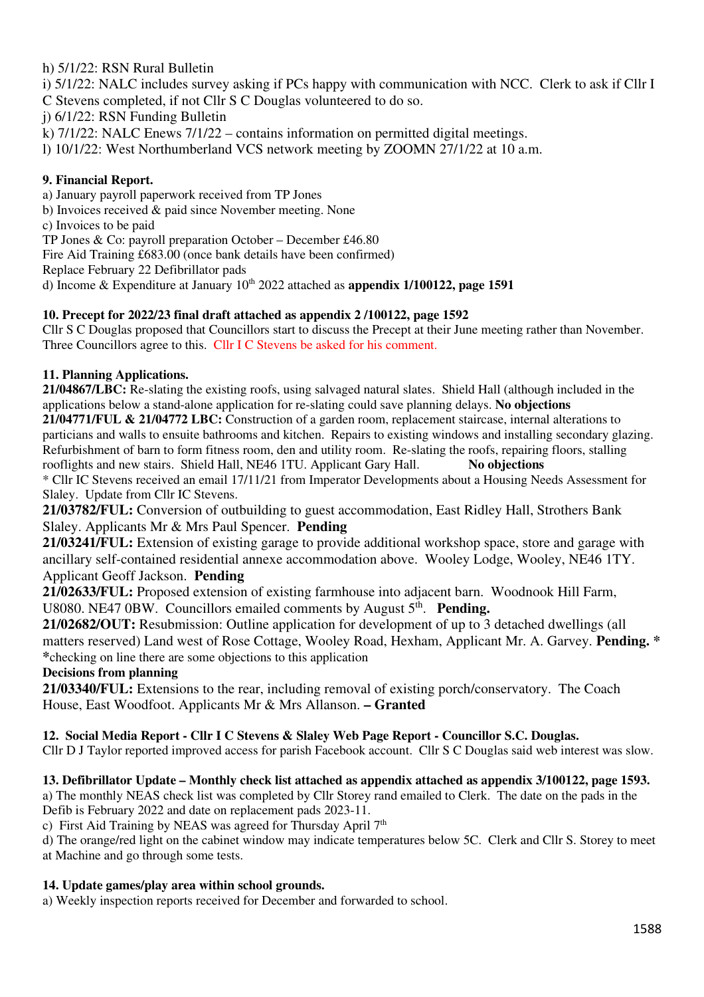# h) 5/1/22: RSN Rural Bulletin

i) 5/1/22: NALC includes survey asking if PCs happy with communication with NCC. Clerk to ask if Cllr I C Stevens completed, if not Cllr S C Douglas volunteered to do so.

j) 6/1/22: RSN Funding Bulletin

k) 7/1/22: NALC Enews 7/1/22 – contains information on permitted digital meetings.

l) 10/1/22: West Northumberland VCS network meeting by ZOOMN 27/1/22 at 10 a.m.

## **9. Financial Report.**

a) January payroll paperwork received from TP Jones

b) Invoices received & paid since November meeting. None

c) Invoices to be paid

TP Jones & Co: payroll preparation October – December £46.80

Fire Aid Training £683.00 (once bank details have been confirmed)

Replace February 22 Defibrillator pads

d) Income & Expenditure at January  $10^{th}$  2022 attached as **appendix 1/100122, page 1591** 

# **10. Precept for 2022/23 final draft attached as appendix 2 /100122, page 1592**

Cllr S C Douglas proposed that Councillors start to discuss the Precept at their June meeting rather than November. Three Councillors agree to this. Cllr I C Stevens be asked for his comment.

# **11. Planning Applications.**

**21/04867/LBC:** Re-slating the existing roofs, using salvaged natural slates. Shield Hall (although included in the applications below a stand-alone application for re-slating could save planning delays. **No objections** 

**21/04771/FUL & 21/04772 LBC:** Construction of a garden room, replacement staircase, internal alterations to particians and walls to ensuite bathrooms and kitchen. Repairs to existing windows and installing secondary glazing. Refurbishment of barn to form fitness room, den and utility room. Re-slating the roofs, repairing floors, stalling rooflights and new stairs. Shield Hall, NE46 1TU. Applicant Gary Hall. **No objections** 

\* Cllr IC Stevens received an email 17/11/21 from Imperator Developments about a Housing Needs Assessment for Slaley. Update from Cllr IC Stevens.

**21/03782/FUL:** Conversion of outbuilding to guest accommodation, East Ridley Hall, Strothers Bank Slaley. Applicants Mr & Mrs Paul Spencer. **Pending** 

**21/03241/FUL:** Extension of existing garage to provide additional workshop space, store and garage with ancillary self-contained residential annexe accommodation above. Wooley Lodge, Wooley, NE46 1TY. Applicant Geoff Jackson. **Pending** 

**21/02633/FUL:** Proposed extension of existing farmhouse into adjacent barn. Woodnook Hill Farm, U8080. NE47 0BW. Councillors emailed comments by August 5<sup>th</sup>. Pending.

**21/02682/OUT:** Resubmission: Outline application for development of up to 3 detached dwellings (all matters reserved) Land west of Rose Cottage, Wooley Road, Hexham, Applicant Mr. A. Garvey. **Pending. \* \***checking on line there are some objections to this application

## **Decisions from planning**

**21/03340/FUL:** Extensions to the rear, including removal of existing porch/conservatory. The Coach House, East Woodfoot. Applicants Mr & Mrs Allanson. **– Granted** 

## **12. Social Media Report - Cllr I C Stevens & Slaley Web Page Report - Councillor S.C. Douglas.**

Cllr D J Taylor reported improved access for parish Facebook account. Cllr S C Douglas said web interest was slow.

## **13. Defibrillator Update – Monthly check list attached as appendix attached as appendix 3/100122, page 1593.**

a) The monthly NEAS check list was completed by Cllr Storey rand emailed to Clerk. The date on the pads in the Defib is February 2022 and date on replacement pads 2023-11.

c) First Aid Training by NEAS was agreed for Thursday April  $7<sup>th</sup>$ 

d) The orange/red light on the cabinet window may indicate temperatures below 5C. Clerk and Cllr S. Storey to meet at Machine and go through some tests.

## **14. Update games/play area within school grounds.**

a) Weekly inspection reports received for December and forwarded to school.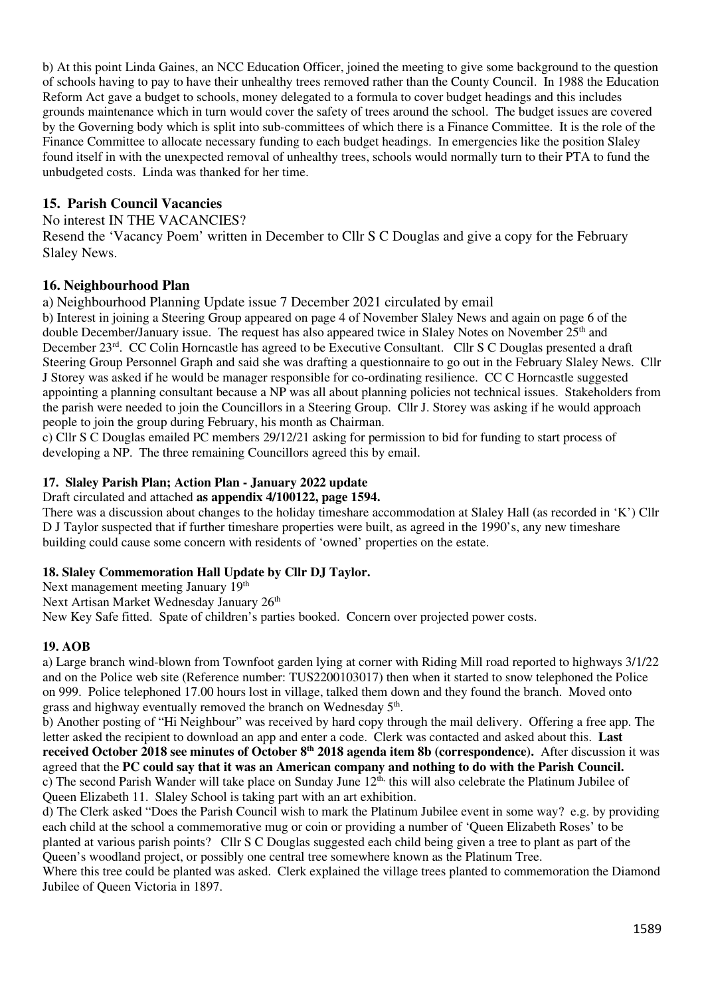b) At this point Linda Gaines, an NCC Education Officer, joined the meeting to give some background to the question of schools having to pay to have their unhealthy trees removed rather than the County Council. In 1988 the Education Reform Act gave a budget to schools, money delegated to a formula to cover budget headings and this includes grounds maintenance which in turn would cover the safety of trees around the school. The budget issues are covered by the Governing body which is split into sub-committees of which there is a Finance Committee. It is the role of the Finance Committee to allocate necessary funding to each budget headings. In emergencies like the position Slaley found itself in with the unexpected removal of unhealthy trees, schools would normally turn to their PTA to fund the unbudgeted costs. Linda was thanked for her time.

## **15. Parish Council Vacancies**

#### No interest IN THE VACANCIES?

Resend the 'Vacancy Poem' written in December to Cllr S C Douglas and give a copy for the February Slaley News.

## **16. Neighbourhood Plan**

a) Neighbourhood Planning Update issue 7 December 2021 circulated by email

b) Interest in joining a Steering Group appeared on page 4 of November Slaley News and again on page 6 of the double December/January issue. The request has also appeared twice in Slaley Notes on November 25<sup>th</sup> and December 23rd. CC Colin Horncastle has agreed to be Executive Consultant. Cllr S C Douglas presented a draft Steering Group Personnel Graph and said she was drafting a questionnaire to go out in the February Slaley News. Cllr J Storey was asked if he would be manager responsible for co-ordinating resilience. CC C Horncastle suggested appointing a planning consultant because a NP was all about planning policies not technical issues. Stakeholders from the parish were needed to join the Councillors in a Steering Group. Cllr J. Storey was asking if he would approach people to join the group during February, his month as Chairman.

c) Cllr S C Douglas emailed PC members 29/12/21 asking for permission to bid for funding to start process of developing a NP. The three remaining Councillors agreed this by email.

#### **17. Slaley Parish Plan; Action Plan - January 2022 update**

Draft circulated and attached **as appendix 4/100122, page 1594.** 

There was a discussion about changes to the holiday timeshare accommodation at Slaley Hall (as recorded in 'K') Cllr D J Taylor suspected that if further timeshare properties were built, as agreed in the 1990's, any new timeshare building could cause some concern with residents of 'owned' properties on the estate.

#### **18. Slaley Commemoration Hall Update by Cllr DJ Taylor.**

Next management meeting January 19<sup>th</sup>

Next Artisan Market Wednesday January 26<sup>th</sup>

New Key Safe fitted. Spate of children's parties booked. Concern over projected power costs.

#### **19. AOB**

a) Large branch wind-blown from Townfoot garden lying at corner with Riding Mill road reported to highways 3/1/22 and on the Police web site (Reference number: TUS2200103017) then when it started to snow telephoned the Police on 999. Police telephoned 17.00 hours lost in village, talked them down and they found the branch. Moved onto grass and highway eventually removed the branch on Wednesday 5<sup>th</sup>.

b) Another posting of "Hi Neighbour" was received by hard copy through the mail delivery. Offering a free app. The letter asked the recipient to download an app and enter a code. Clerk was contacted and asked about this. **Last received October 2018 see minutes of October 8th 2018 agenda item 8b (correspondence).** After discussion it was agreed that the **PC could say that it was an American company and nothing to do with the Parish Council.**  c) The second Parish Wander will take place on Sunday June 12th, this will also celebrate the Platinum Jubilee of Queen Elizabeth 11. Slaley School is taking part with an art exhibition.

d) The Clerk asked "Does the Parish Council wish to mark the Platinum Jubilee event in some way? e.g. by providing each child at the school a commemorative mug or coin or providing a number of 'Queen Elizabeth Roses' to be planted at various parish points? Cllr S C Douglas suggested each child being given a tree to plant as part of the Queen's woodland project, or possibly one central tree somewhere known as the Platinum Tree.

Where this tree could be planted was asked. Clerk explained the village trees planted to commemoration the Diamond Jubilee of Queen Victoria in 1897.